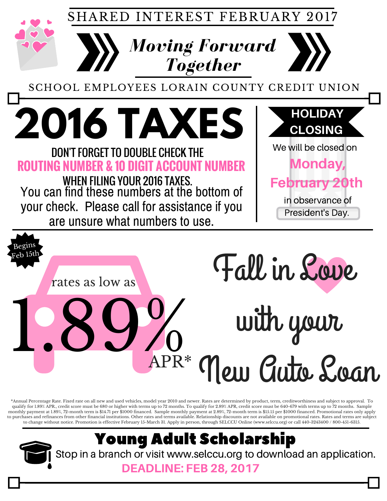SHARED INTEREST FEBRUARY 2017

*Moving Forward*

*Together*

SCHOOL EMPLOYEES LORAIN COUNTY CREDIT UNION

You can find these numbers at the bottom of your check. Please call for assistance if you **2016 TAXES** DON'T FORGET TO DOUBLE CHECK THE **ROUTING NUMBER & 10 DIGIT ACCOUNT NUMBER** We will be closed on Monday, **February 2** in observance of President's Day. HOLIDAY CLOSING WHEN FILING YOUR 2016 TAXES.

are unsure what numbers to use.

Begins Feb 15th



with your

New Auto Loan

\*Annual Percentage Rate. Fixed rate on all new and used vehicles, model year 2010 and newer. Rates are determined by product, term, creditworthiness and subject to approval. To qualify for 1.89% APR., credit score must be 680 or higher with terms up to 72 months. To qualify for 2.89% APR, credit score must be 640-679 with terms up to 72 months. Sample monthly payment at 1.89%, 72-month term is \$14.71 per \$1000 financed. Sample monthly payment at 2.89%, 72-month term is \$15.15 per \$1000 financed. Promotional rates only apply to purchases and refinances from other financial institutions. Other rates and terms available. Relationship discounts are not available on promotional rates. Rates and terms are subject to change without notice. Promotion is effective February 15-March 31. Apply in person, through SELCCU Online (www.selccu.org) or call 440-3243400 / 800-451-6315.

APR\*

# Young Adult Scholarship

Stop in a branch or visit www.selccu.org to download an application.

### DEADLINE: FEB 28, 2017